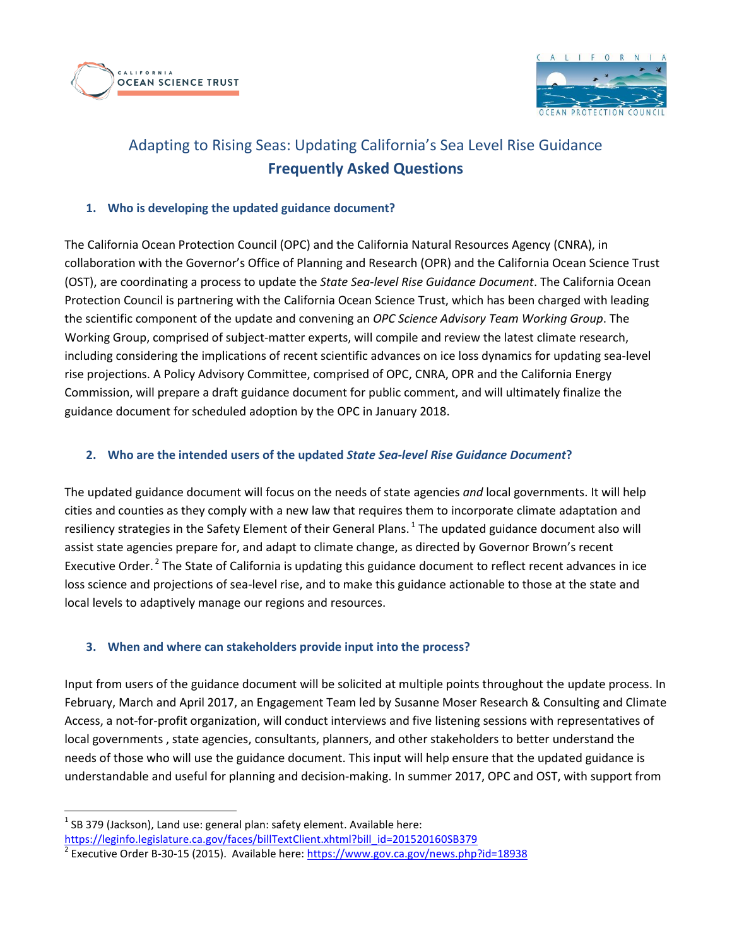



# Adapting to Rising Seas: Updating California's Sea Level Rise Guidance **Frequently Asked Questions**

## **1. Who is developing the updated guidance document?**

The California Ocean Protection Council (OPC) and the California Natural Resources Agency (CNRA), in collaboration with the Governor's Office of Planning and Research (OPR) and the California Ocean Science Trust (OST), are coordinating a process to update the *State Sea-level Rise Guidance Document*. The California Ocean Protection Council is partnering with the California Ocean Science Trust, which has been charged with leading the scientific component of the update and convening an *OPC Science Advisory Team Working Group*. The Working Group, comprised of subject-matter experts, will compile and review the latest climate research, including considering the implications of recent scientific advances on ice loss dynamics for updating sea-level rise projections. A Policy Advisory Committee, comprised of OPC, CNRA, OPR and the California Energy Commission, will prepare a draft guidance document for public comment, and will ultimately finalize the guidance document for scheduled adoption by the OPC in January 2018.

## **2. Who are the intended users of the updated** *State Sea-level Rise Guidance Document***?**

The updated guidance document will focus on the needs of state agencies *and* local governments. It will help cities and counties as they comply with a new law that requires them to incorporate climate adaptation and resiliency strategies in the Safety Element of their General Plans.  $^{1}$  The updated guidance document also will assist state agencies prepare for, and adapt to climate change, as directed by Governor Brown's recent Executive Order.<sup>2</sup> The State of California is updating this guidance document to reflect recent advances in ice loss science and projections of sea-level rise, and to make this guidance actionable to those at the state and local levels to adaptively manage our regions and resources.

# **3. When and where can stakeholders provide input into the process?**

Input from users of the guidance document will be solicited at multiple points throughout the update process. In February, March and April 2017, an Engagement Team led by Susanne Moser Research & Consulting and Climate Access, a not-for-profit organization, will conduct interviews and five listening sessions with representatives of local governments , state agencies, consultants, planners, and other stakeholders to better understand the needs of those who will use the guidance document. This input will help ensure that the updated guidance is understandable and useful for planning and decision-making. In summer 2017, OPC and OST, with support from

 $\overline{\phantom{a}}$ 

 $<sup>1</sup>$  SB 379 (Jackson), Land use: general plan: safety element. Available here:</sup> [https://leginfo.legislature.ca.gov/faces/billTextClient.xhtml?bill\\_id=201520160SB379](https://leginfo.legislature.ca.gov/faces/billTextClient.xhtml?bill_id=201520160SB379)

<sup>&</sup>lt;sup>2</sup> Executive Order B-30-15 (2015). Available here:<https://www.gov.ca.gov/news.php?id=18938>